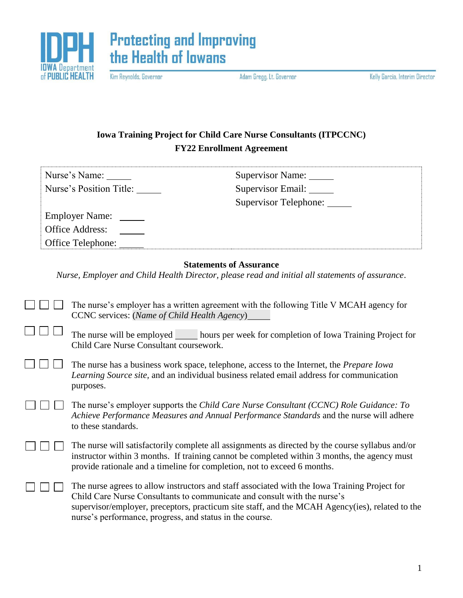



Kim Reynolds, Governor

Adam Gregg, Lt. Governor

Kelly Garcia, Interim Director

## **Iowa Training Project for Child Care Nurse Consultants (ITPCCNC) FY22 Enrollment Agreement**

| Nurse's Name:           | Supervisor Name:      |
|-------------------------|-----------------------|
| Nurse's Position Title: | Supervisor Email:     |
|                         | Supervisor Telephone: |
| <b>Employer Name:</b>   |                       |
| <b>Office Address:</b>  |                       |
| Office Telephone:       |                       |

## **Statements of Assurance**

*Nurse, Employer and Child Health Director, please read and initial all statements of assurance*.

| $\Box$ The nurse's employer has a written agreement with the following Title V MCAH agency for |
|------------------------------------------------------------------------------------------------|
| <b>CCNC</b> services: (Name of Child Health Agency)                                            |

| $\Box$ $\Box$ The nurse will be employed | hours per week for completion of Iowa Training Project for |
|------------------------------------------|------------------------------------------------------------|
| Child Care Nurse Consultant coursework.  |                                                            |

| $\Box$ $\Box$ The nurse has a business work space, telephone, access to the Internet, the <i>Prepare Iowa</i> |
|---------------------------------------------------------------------------------------------------------------|
| <i>Learning Source site,</i> and an individual business related email address for communication               |
| purposes.                                                                                                     |

 $\Box$   $\Box$   $\Box$ The nurse's employer supports the *Child Care Nurse Consultant (CCNC) Role Guidance: To Achieve Performance Measures and Annual Performance Standards* and the nurse will adhere to these standards.

| $\Box$ $\Box$ $\Box$ | The nurse will satisfactorily complete all assignments as directed by the course syllabus and/or |  |
|----------------------|--------------------------------------------------------------------------------------------------|--|
|                      | instructor within 3 months. If training cannot be completed within 3 months, the agency must     |  |
|                      | provide rationale and a timeline for completion, not to exceed 6 months.                         |  |

The nurse agrees to allow instructors and staff associated with the Iowa Training Project for Child Care Nurse Consultants to communicate and consult with the nurse's supervisor/employer, preceptors, practicum site staff, and the MCAH Agency(ies), related to the nurse's performance, progress, and status in the course.